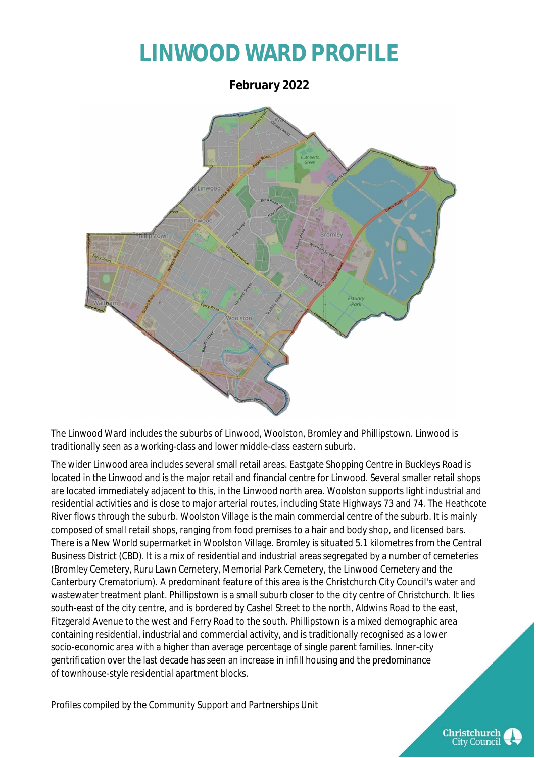## **LINWOOD WARD PROFILE**

**February 2022**



The Linwood Ward includes the suburbs of Linwood, Woolston, Bromley and Phillipstown. Linwood is traditionally seen as a working-class and lower middle-class eastern suburb.

The wider Linwood area includes several small retail areas. Eastgate Shopping Centre in Buckleys Road is located in the Linwood and is the major retail and financial centre for Linwood. Several smaller retail shops are located immediately adjacent to this, in the Linwood north area. Woolston supports light industrial and residential activities and is close to major arterial routes, including State Highways 73 and 74. The Heathcote River flows through the suburb. Woolston Village is the main commercial centre of the suburb. It is mainly composed of small retail shops, ranging from food premises to a hair and body shop, and licensed bars. There is a New World supermarket in Woolston Village. Bromley is situated 5.1 kilometres from the Central Business District (CBD). It is a mix of residential and industrial areas segregated by a number of cemeteries (Bromley Cemetery, Ruru Lawn Cemetery, Memorial Park Cemetery, the Linwood Cemetery and the Canterbury Crematorium). A predominant feature of this area is the Christchurch City Council's water and wastewater treatment plant. Phillipstown is a small suburb closer to the city centre of Christchurch. It lies south-east of the city centre, and is bordered by Cashel Street to the north, Aldwins Road to the east, Fitzgerald Avenue to the west and Ferry Road to the south. Phillipstown is a mixed demographic area containing residential, industrial and commercial activity, and is traditionally recognised as a lower socio-economic area with a higher than average percentage of single parent families. Inner-city gentrification over the last decade has seen an increase in infill housing and the predominance of townhouse-style residential apartment blocks.

*Profiles compiled by the Community Support and Partnerships Unit*

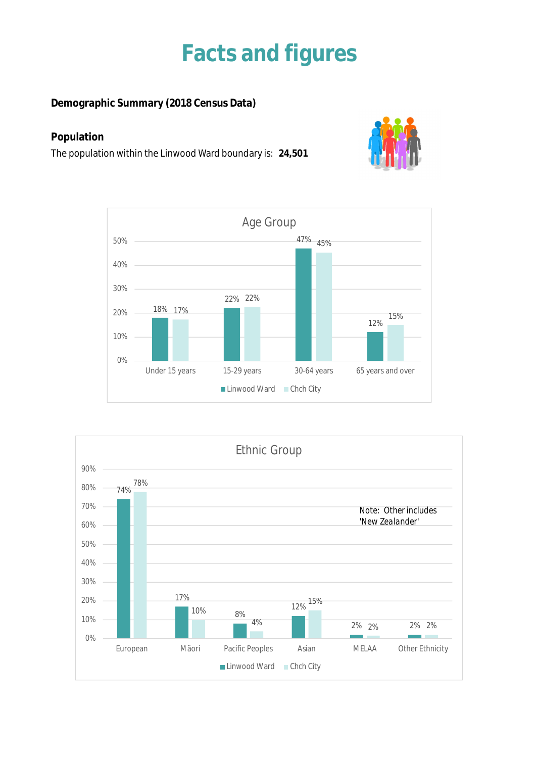## **Facts and figures**

**Demographic Summary (2018 Census Data)**

### **Population**

The population within the Linwood Ward boundary is: **24,501**





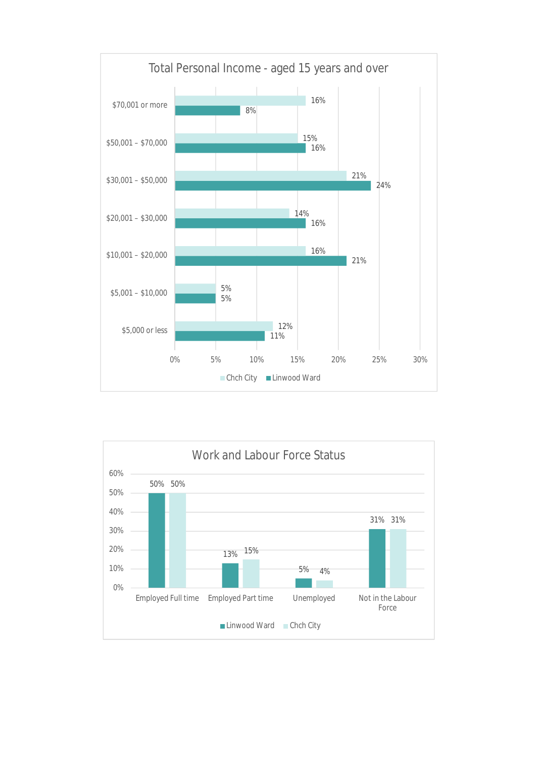

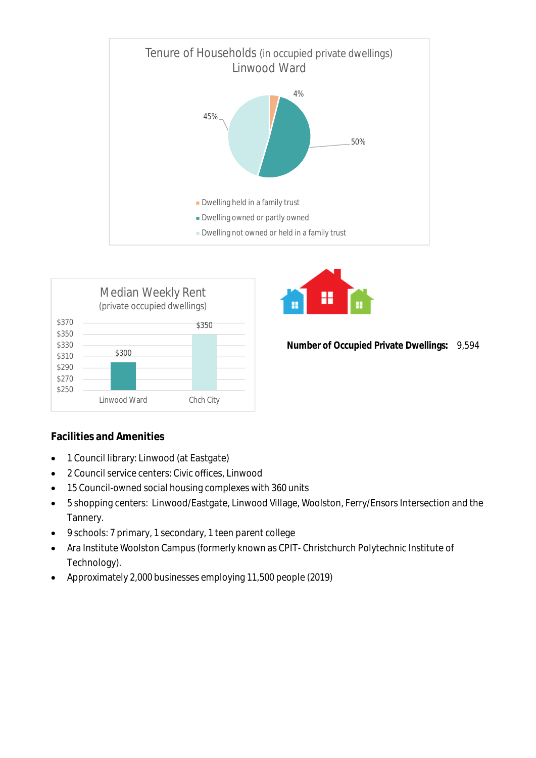





**Number of Occupied Private Dwellings:** 9,594

### **Facilities and Amenities**

- 1 Council library: Linwood (at Eastgate)
- 2 Council service centers: Civic offices, Linwood
- 15 Council-owned social housing complexes with 360 units
- 5 shopping centers: Linwood/Eastgate, Linwood Village, Woolston, Ferry/Ensors Intersection and the Tannery.
- 9 schools: 7 primary, 1 secondary, 1 teen parent college
- Ara Institute Woolston Campus (formerly known as CPIT- Christchurch Polytechnic Institute of Technology).
- Approximately 2,000 businesses employing 11,500 people (2019)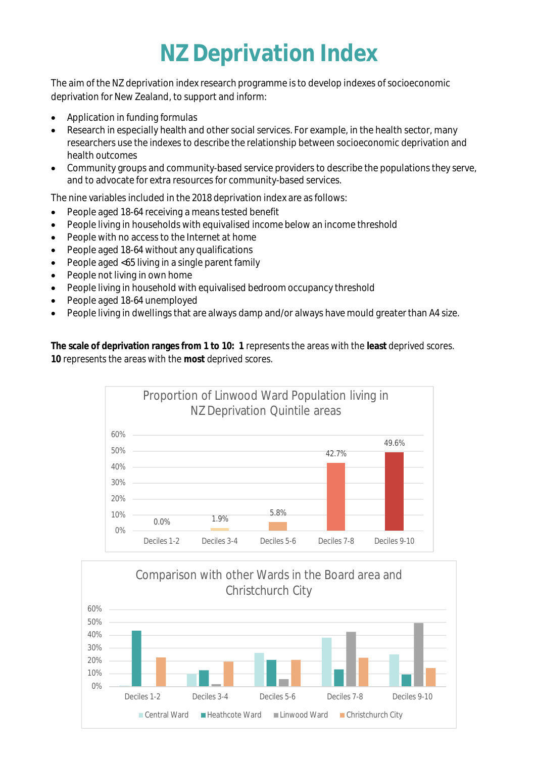# **NZ Deprivation Index**

The aim of the NZ deprivation index research programme is to develop indexes of socioeconomic deprivation for New Zealand, to support and inform:

- Application in funding formulas
- Research in especially health and other social services. For example, in the health sector, many researchers use the indexes to describe the relationship between socioeconomic deprivation and health outcomes
- Community groups and community-based service providers to describe the populations they serve, and to advocate for extra resources for community-based services.

The nine variables included in the 2018 deprivation index are as follows:

- People aged 18-64 receiving a means tested benefit
- People living in households with equivalised income below an income threshold
- People with no access to the Internet at home
- People aged 18-64 without any qualifications
- People aged <65 living in a single parent family
- People not living in own home
- People living in household with equivalised bedroom occupancy threshold
- People aged 18-64 unemployed
- People living in dwellings that are always damp and/or always have mould greater than A4 size.

**The scale of deprivation ranges from 1 to 10: 1** represents the areas with the **least** deprived scores. **10** represents the areas with the **most** deprived scores.



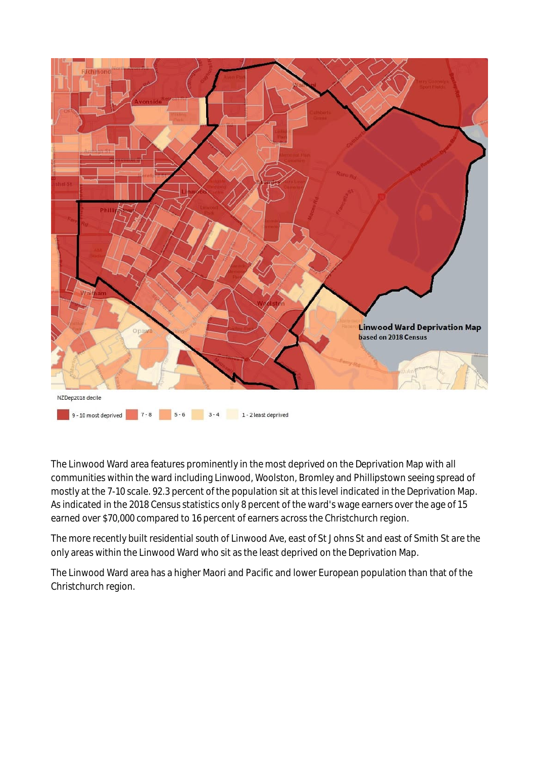

The Linwood Ward area features prominently in the most deprived on the Deprivation Map with all communities within the ward including Linwood, Woolston, Bromley and Phillipstown seeing spread of mostly at the 7-10 scale. 92.3 percent of the population sit at this level indicated in the Deprivation Map. As indicated in the 2018 Census statistics only 8 percent of the ward's wage earners over the age of 15 earned over \$70,000 compared to 16 percent of earners across the Christchurch region.

The more recently built residential south of Linwood Ave, east of St Johns St and east of Smith St are the only areas within the Linwood Ward who sit as the least deprived on the Deprivation Map.

The Linwood Ward area has a higher Maori and Pacific and lower European population than that of the Christchurch region.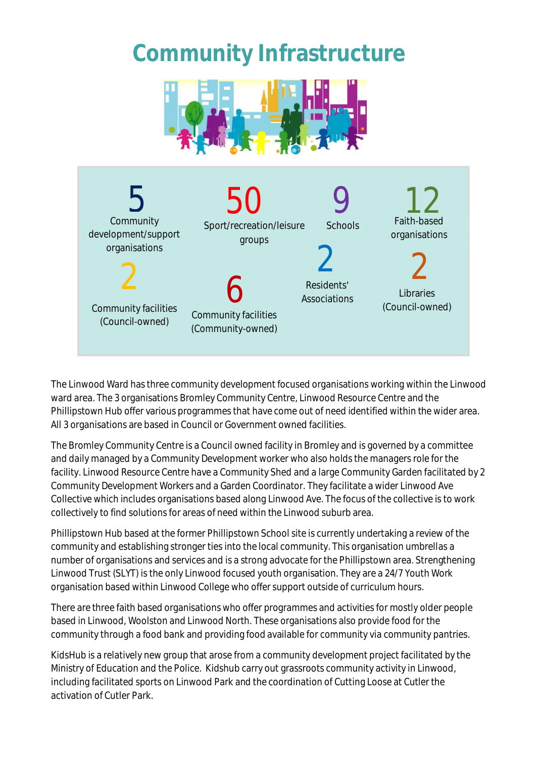# **Community Infrastructure**





The Linwood Ward has three community development focused organisations working within the Linwood ward area. The 3 organisations Bromley Community Centre, Linwood Resource Centre and the Phillipstown Hub offer various programmes that have come out of need identified within the wider area. All 3 organisations are based in Council or Government owned facilities.

The Bromley Community Centre is a Council owned facility in Bromley and is governed by a committee and daily managed by a Community Development worker who also holds the managers role for the facility. Linwood Resource Centre have a Community Shed and a large Community Garden facilitated by 2 Community Development Workers and a Garden Coordinator. They facilitate a wider Linwood Ave Collective which includes organisations based along Linwood Ave. The focus of the collective is to work collectively to find solutions for areas of need within the Linwood suburb area.

Phillipstown Hub based at the former Phillipstown School site is currently undertaking a review of the community and establishing stronger ties into the local community. This organisation umbrellas a number of organisations and services and is a strong advocate for the Phillipstown area. Strengthening Linwood Trust (SLYT) is the only Linwood focused youth organisation. They are a 24/7 Youth Work organisation based within Linwood College who offer support outside of curriculum hours.

There are three faith based organisations who offer programmes and activities for mostly older people based in Linwood, Woolston and Linwood North. These organisations also provide food for the community through a food bank and providing food available for community via community pantries.

KidsHub is a relatively new group that arose from a community development project facilitated by the Ministry of Education and the Police. Kidshub carry out grassroots community activity in Linwood, including facilitated sports on Linwood Park and the coordination of Cutting Loose at Cutler the activation of Cutler Park.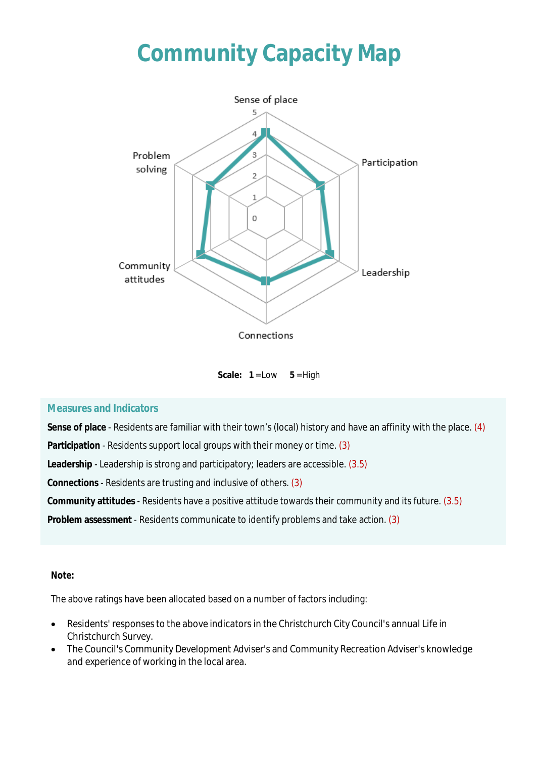# **Community Capacity Map**



Scale:  $1 = Low \t 5 = High$ 

#### **Measures and Indicators**

**Sense of place** - Residents are familiar with their town's (local) history and have an affinity with the place. (4)

**Participation** - Residents support local groups with their money or time. (3)

**Leadership** - Leadership is strong and participatory; leaders are accessible. (3.5)

**Connections** - Residents are trusting and inclusive of others. (3)

**Community attitudes** - Residents have a positive attitude towards their community and its future. (3.5)

**Problem assessment** - Residents communicate to identify problems and take action. (3)

#### **Note:**

The above ratings have been allocated based on a number of factors including:

- Residents' responses to the above indicators in the Christchurch City Council's annual Life in Christchurch Survey.
- The Council's Community Development Adviser's and Community Recreation Adviser's knowledge and experience of working in the local area.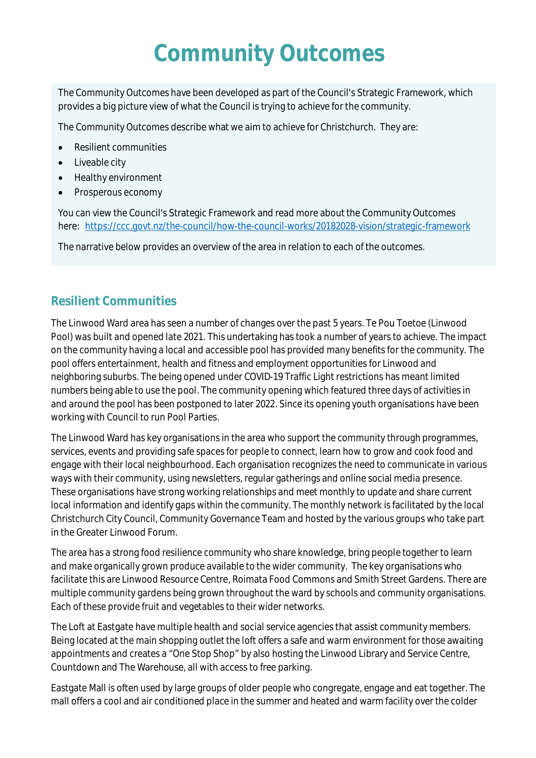# **Community Outcomes**

The Community Outcomes have been developed as part of the Council's Strategic Framework, which provides a big picture view of what the Council is trying to achieve for the community.

The Community Outcomes describe what we aim to achieve for Christchurch. They are:

- Resilient communities
- Liveable city
- Healthy environment
- Prosperous economy

You can view the Council's Strategic Framework and read more about the Community Outcomes here: <https://ccc.govt.nz/the-council/how-the-council-works/20182028-vision/strategic-framework>

The narrative below provides an overview of the area in relation to each of the outcomes.

## **Resilient Communities**

The Linwood Ward area has seen a number of changes over the past 5 years. Te Pou Toetoe (Linwood Pool) was built and opened late 2021. This undertaking has took a number of years to achieve. The impact on the community having a local and accessible pool has provided many benefits for the community. The pool offers entertainment, health and fitness and employment opportunities for Linwood and neighboring suburbs. The being opened under COVID-19 Traffic Light restrictions has meant limited numbers being able to use the pool. The community opening which featured three days of activities in and around the pool has been postponed to later 2022. Since its opening youth organisations have been working with Council to run Pool Parties.

The Linwood Ward has key organisations in the area who support the community through programmes, services, events and providing safe spaces for people to connect, learn how to grow and cook food and engage with their local neighbourhood. Each organisation recognizes the need to communicate in various ways with their community, using newsletters, regular gatherings and online social media presence. These organisations have strong working relationships and meet monthly to update and share current local information and identify gaps within the community. The monthly network is facilitated by the local Christchurch City Council, Community Governance Team and hosted by the various groups who take part in the Greater Linwood Forum.

The area has a strong food resilience community who share knowledge, bring people together to learn and make organically grown produce available to the wider community. The key organisations who facilitate this are Linwood Resource Centre, Roimata Food Commons and Smith Street Gardens. There are multiple community gardens being grown throughout the ward by schools and community organisations. Each of these provide fruit and vegetables to their wider networks.

The Loft at Eastgate have multiple health and social service agencies that assist community members. Being located at the main shopping outlet the loft offers a safe and warm environment for those awaiting appointments and creates a "One Stop Shop" by also hosting the Linwood Library and Service Centre, Countdown and The Warehouse, all with access to free parking.

Eastgate Mall is often used by large groups of older people who congregate, engage and eat together. The mall offers a cool and air conditioned place in the summer and heated and warm facility over the colder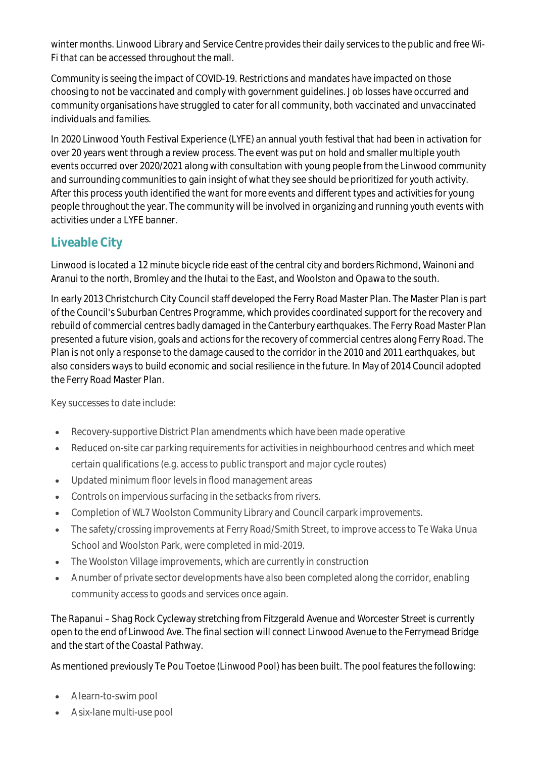winter months. Linwood Library and Service Centre provides their daily services to the public and free Wi-Fi that can be accessed throughout the mall.

Community is seeing the impact of COVID-19. Restrictions and mandates have impacted on those choosing to not be vaccinated and comply with government guidelines. Job losses have occurred and community organisations have struggled to cater for all community, both vaccinated and unvaccinated individuals and families.

In 2020 Linwood Youth Festival Experience (LYFE) an annual youth festival that had been in activation for over 20 years went through a review process. The event was put on hold and smaller multiple youth events occurred over 2020/2021 along with consultation with young people from the Linwood community and surrounding communities to gain insight of what they see should be prioritized for youth activity. After this process youth identified the want for more events and different types and activities for young people throughout the year. The community will be involved in organizing and running youth events with activities under a LYFE banner.

## **Liveable City**

Linwood is located a 12 minute bicycle ride east of the central city and borders Richmond, Wainoni and Aranui to the north, Bromley and the Ihutai to the East, and Woolston and Opawa to the south.

In early 2013 Christchurch City Council staff developed the Ferry Road Master Plan. The Master Plan is part of the Council's Suburban Centres Programme, which provides coordinated support for the recovery and rebuild of commercial centres badly damaged in the Canterbury earthquakes. The Ferry Road Master Plan presented a future vision, goals and actions for the recovery of commercial centres along Ferry Road. The Plan is not only a response to the damage caused to the corridor in the 2010 and 2011 earthquakes, but also considers ways to build economic and social resilience in the future. In May of 2014 Council adopted the Ferry Road Master Plan.

Key successes to date include:

- Recovery-supportive District Plan amendments which have been made operative
- Reduced on-site car parking requirements for activities in neighbourhood centres and which meet certain qualifications (e.g. access to public transport and major cycle routes)
- Updated minimum floor levels in flood management areas
- Controls on impervious surfacing in the setbacks from rivers.
- Completion of WL7 Woolston Community Library and Council carpark improvements.
- The safety/crossing improvements at Ferry Road/Smith Street, to improve access to Te Waka Unua School and Woolston Park, were completed in mid-2019.
- The Woolston Village improvements, which are currently in construction
- A number of private sector developments have also been completed along the corridor, enabling community access to goods and services once again.

The Rapanui – Shag Rock Cycleway stretching from Fitzgerald Avenue and Worcester Street is currently open to the end of Linwood Ave. The final section will connect Linwood Avenue to the Ferrymead Bridge and the start of the Coastal Pathway.

As mentioned previously Te Pou Toetoe (Linwood Pool) has been built. The pool features the following:

- A learn-to-swim pool
- A six-lane multi-use pool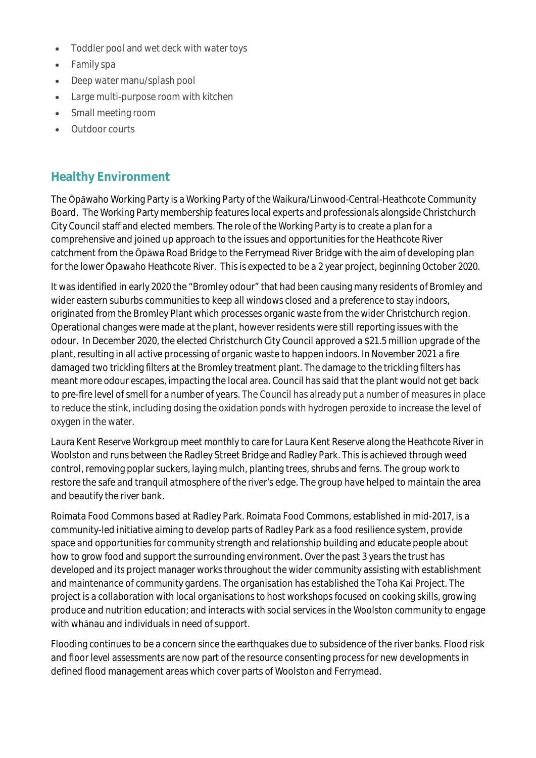- Toddler pool and wet deck with water toys
- Family spa
- Deep water manu/splash pool
- Large multi-purpose room with kitchen
- Small meeting room
- Outdoor courts

## **Healthy Environment**

The Ōpāwaho Working Party is a Working Party of the Waikura/Linwood-Central-Heathcote Community Board. The Working Party membership features local experts and professionals alongside Christchurch City Council staff and elected members. The role of the Working Party is to create a plan for a comprehensive and joined up approach to the issues and opportunities for the Heathcote River catchment from the Ōpāwa Road Bridge to the Ferrymead River Bridge with the aim of developing plan for the lower Ōpawaho Heathcote River. This is expected to be a 2 year project, beginning October 2020.

It was identified in early 2020 the "Bromley odour" that had been causing many residents of Bromley and wider eastern suburbs communities to keep all windows closed and a preference to stay indoors, originated from the Bromley Plant which processes organic waste from the wider Christchurch region. Operational changes were made at the plant, however residents were still reporting issues with the odour. In December 2020, the elected Christchurch City Council approved a \$21.5 million upgrade of the plant, resulting in all active processing of organic waste to happen indoors. In November 2021 a fire damaged two trickling filters at the Bromley treatment plant. The damage to the trickling filters has meant more odour escapes, impacting the local area. Council has said that the plant would not get back to pre-fire level of smell for a number of years. The Council has already put a number of measures in place to reduce the stink, including dosing the oxidation ponds with hydrogen peroxide to increase the level of oxygen in the water.

Laura Kent Reserve Workgroup meet monthly to care for Laura Kent Reserve along the Heathcote River in Woolston and runs between the Radley Street Bridge and Radley Park. This is achieved through weed control, removing poplar suckers, laying mulch, planting trees, shrubs and ferns. The group work to restore the safe and tranquil atmosphere of the river's edge. The group have helped to maintain the area and beautify the river bank.

Roimata Food Commons based at Radley Park. Roimata Food Commons, established in mid-2017, is a community-led initiative aiming to develop parts of Radley Park as a food resilience system, provide space and opportunities for community strength and relationship building and educate people about how to grow food and support the surrounding environment. Over the past 3 years the trust has developed and its project manager works throughout the wider community assisting with establishment and maintenance of community gardens. The organisation has established the Toha Kai Project. The project is a collaboration with local organisations to host workshops focused on cooking skills, growing produce and nutrition education; and interacts with social services in the Woolston community to engage with whānau and individuals in need of support.

Flooding continues to be a concern since the earthquakes due to subsidence of the river banks. Flood risk and floor level assessments are now part of the resource consenting process for new developments in defined flood management areas which cover parts of Woolston and Ferrymead.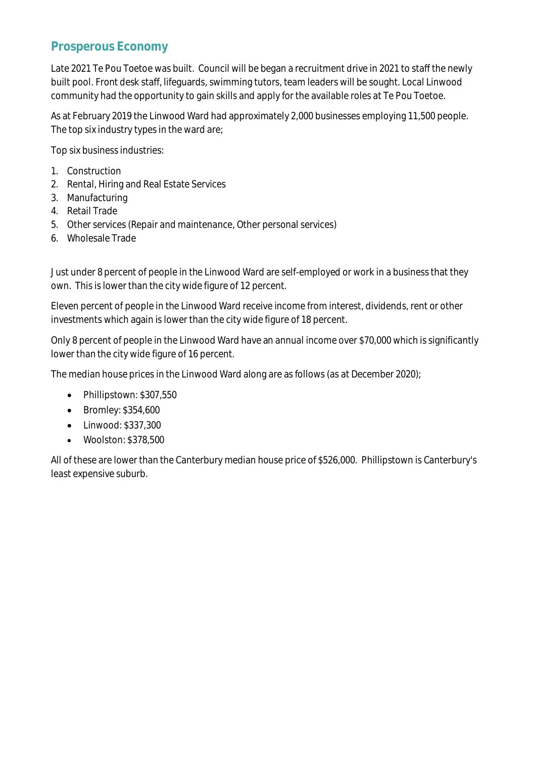## **Prosperous Economy**

Late 2021 Te Pou Toetoe was built. Council will be began a recruitment drive in 2021 to staff the newly built pool. Front desk staff, lifeguards, swimming tutors, team leaders will be sought. Local Linwood community had the opportunity to gain skills and apply for the available roles at Te Pou Toetoe.

As at February 2019 the Linwood Ward had approximately 2,000 businesses employing 11,500 people. The top six industry types in the ward are;

Top six business industries:

- 1. Construction
- 2. Rental, Hiring and Real Estate Services
- 3. Manufacturing
- 4. Retail Trade
- 5. Other services (Repair and maintenance, Other personal services)
- 6. Wholesale Trade

Just under 8 percent of people in the Linwood Ward are self-employed or work in a business that they own. This is lower than the city wide figure of 12 percent.

Eleven percent of people in the Linwood Ward receive income from interest, dividends, rent or other investments which again is lower than the city wide figure of 18 percent.

Only 8 percent of people in the Linwood Ward have an annual income over \$70,000 which is significantly lower than the city wide figure of 16 percent.

The median house prices in the Linwood Ward along are as follows (as at December 2020);

- Phillipstown: \$307,550
- Bromley: \$354,600
- Linwood: \$337,300
- Woolston: \$378,500

All of these are lower than the Canterbury median house price of \$526,000. Phillipstown is Canterbury's least expensive suburb.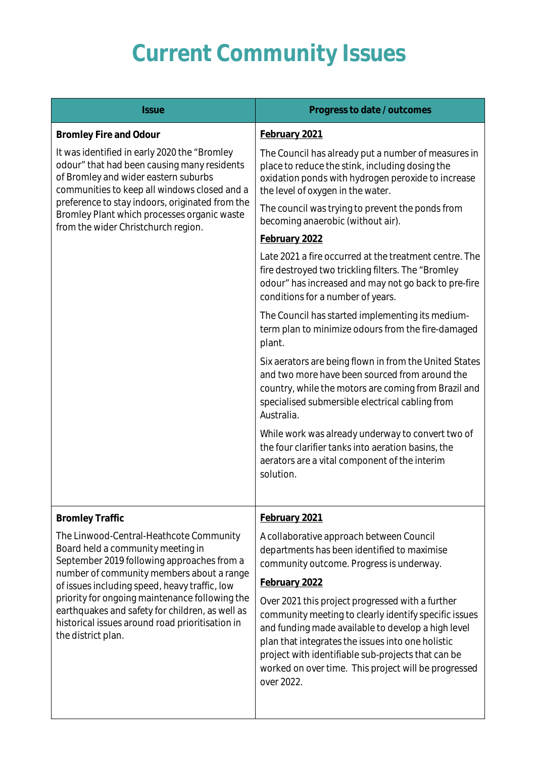# **Current Community Issues**

| <b>Issue</b>                                                                                                                                                                                                                                                                                                                                                                                           | Progress to date / outcomes                                                                                                                                                                                                                                                                                                                      |
|--------------------------------------------------------------------------------------------------------------------------------------------------------------------------------------------------------------------------------------------------------------------------------------------------------------------------------------------------------------------------------------------------------|--------------------------------------------------------------------------------------------------------------------------------------------------------------------------------------------------------------------------------------------------------------------------------------------------------------------------------------------------|
| <b>Bromley Fire and Odour</b>                                                                                                                                                                                                                                                                                                                                                                          | February 2021                                                                                                                                                                                                                                                                                                                                    |
| It was identified in early 2020 the "Bromley"<br>odour" that had been causing many residents<br>of Bromley and wider eastern suburbs<br>communities to keep all windows closed and a<br>preference to stay indoors, originated from the<br>Bromley Plant which processes organic waste<br>from the wider Christchurch region.                                                                          | The Council has already put a number of measures in<br>place to reduce the stink, including dosing the<br>oxidation ponds with hydrogen peroxide to increase<br>the level of oxygen in the water.                                                                                                                                                |
|                                                                                                                                                                                                                                                                                                                                                                                                        | The council was trying to prevent the ponds from<br>becoming anaerobic (without air).                                                                                                                                                                                                                                                            |
|                                                                                                                                                                                                                                                                                                                                                                                                        | February 2022                                                                                                                                                                                                                                                                                                                                    |
|                                                                                                                                                                                                                                                                                                                                                                                                        | Late 2021 a fire occurred at the treatment centre. The<br>fire destroyed two trickling filters. The "Bromley<br>odour" has increased and may not go back to pre-fire<br>conditions for a number of years.                                                                                                                                        |
|                                                                                                                                                                                                                                                                                                                                                                                                        | The Council has started implementing its medium-<br>term plan to minimize odours from the fire-damaged<br>plant.                                                                                                                                                                                                                                 |
|                                                                                                                                                                                                                                                                                                                                                                                                        | Six aerators are being flown in from the United States<br>and two more have been sourced from around the<br>country, while the motors are coming from Brazil and<br>specialised submersible electrical cabling from<br>Australia.                                                                                                                |
|                                                                                                                                                                                                                                                                                                                                                                                                        | While work was already underway to convert two of<br>the four clarifier tanks into aeration basins, the<br>aerators are a vital component of the interim<br>solution.                                                                                                                                                                            |
| <b>Bromley Traffic</b>                                                                                                                                                                                                                                                                                                                                                                                 | February 2021                                                                                                                                                                                                                                                                                                                                    |
| The Linwood-Central-Heathcote Community<br>Board held a community meeting in<br>September 2019 following approaches from a<br>number of community members about a range<br>of issues including speed, heavy traffic, low<br>priority for ongoing maintenance following the<br>earthquakes and safety for children, as well as<br>historical issues around road prioritisation in<br>the district plan. | A collaborative approach between Council<br>departments has been identified to maximise<br>community outcome. Progress is underway.<br>February 2022                                                                                                                                                                                             |
|                                                                                                                                                                                                                                                                                                                                                                                                        | Over 2021 this project progressed with a further<br>community meeting to clearly identify specific issues<br>and funding made available to develop a high level<br>plan that integrates the issues into one holistic<br>project with identifiable sub-projects that can be<br>worked on over time. This project will be progressed<br>over 2022. |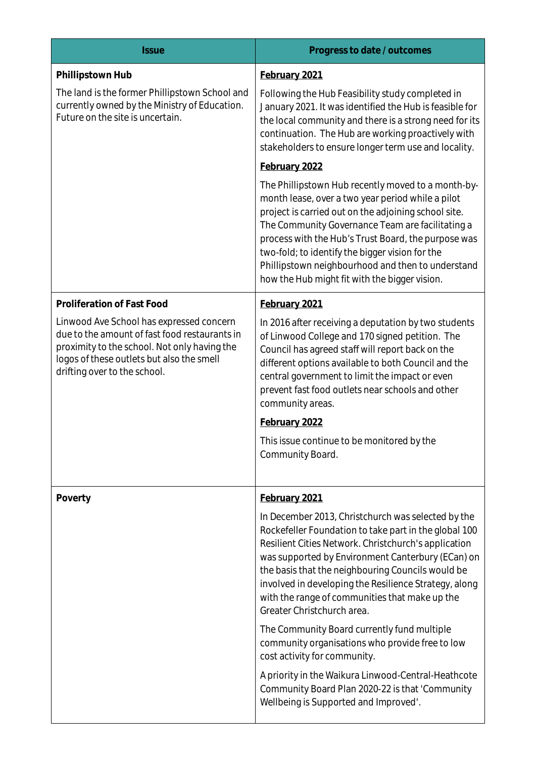| <b>Issue</b>                                                                                                                                                                                                           | Progress to date / outcomes                                                                                                                                                                                                                                                                                                                                                                                                         |
|------------------------------------------------------------------------------------------------------------------------------------------------------------------------------------------------------------------------|-------------------------------------------------------------------------------------------------------------------------------------------------------------------------------------------------------------------------------------------------------------------------------------------------------------------------------------------------------------------------------------------------------------------------------------|
| Phillipstown Hub                                                                                                                                                                                                       | February 2021                                                                                                                                                                                                                                                                                                                                                                                                                       |
| The land is the former Phillipstown School and<br>currently owned by the Ministry of Education.<br>Future on the site is uncertain.                                                                                    | Following the Hub Feasibility study completed in<br>January 2021. It was identified the Hub is feasible for<br>the local community and there is a strong need for its<br>continuation. The Hub are working proactively with<br>stakeholders to ensure longer term use and locality.                                                                                                                                                 |
|                                                                                                                                                                                                                        | February 2022                                                                                                                                                                                                                                                                                                                                                                                                                       |
|                                                                                                                                                                                                                        | The Phillipstown Hub recently moved to a month-by-<br>month lease, over a two year period while a pilot<br>project is carried out on the adjoining school site.<br>The Community Governance Team are facilitating a<br>process with the Hub's Trust Board, the purpose was<br>two-fold; to identify the bigger vision for the<br>Phillipstown neighbourhood and then to understand<br>how the Hub might fit with the bigger vision. |
| Proliferation of Fast Food                                                                                                                                                                                             | February 2021                                                                                                                                                                                                                                                                                                                                                                                                                       |
| Linwood Ave School has expressed concern<br>due to the amount of fast food restaurants in<br>proximity to the school. Not only having the<br>logos of these outlets but also the smell<br>drifting over to the school. | In 2016 after receiving a deputation by two students<br>of Linwood College and 170 signed petition. The<br>Council has agreed staff will report back on the<br>different options available to both Council and the<br>central government to limit the impact or even<br>prevent fast food outlets near schools and other<br>community areas.<br>February 2022<br>This issue continue to be monitored by the<br>Community Board.     |
| Poverty                                                                                                                                                                                                                | February 2021                                                                                                                                                                                                                                                                                                                                                                                                                       |
|                                                                                                                                                                                                                        | In December 2013, Christchurch was selected by the<br>Rockefeller Foundation to take part in the global 100<br>Resilient Cities Network. Christchurch's application<br>was supported by Environment Canterbury (ECan) on<br>the basis that the neighbouring Councils would be<br>involved in developing the Resilience Strategy, along<br>with the range of communities that make up the<br>Greater Christchurch area.              |
|                                                                                                                                                                                                                        | The Community Board currently fund multiple<br>community organisations who provide free to low<br>cost activity for community.                                                                                                                                                                                                                                                                                                      |
|                                                                                                                                                                                                                        | A priority in the Waikura Linwood-Central-Heathcote<br>Community Board Plan 2020-22 is that 'Community<br>Wellbeing is Supported and Improved'.                                                                                                                                                                                                                                                                                     |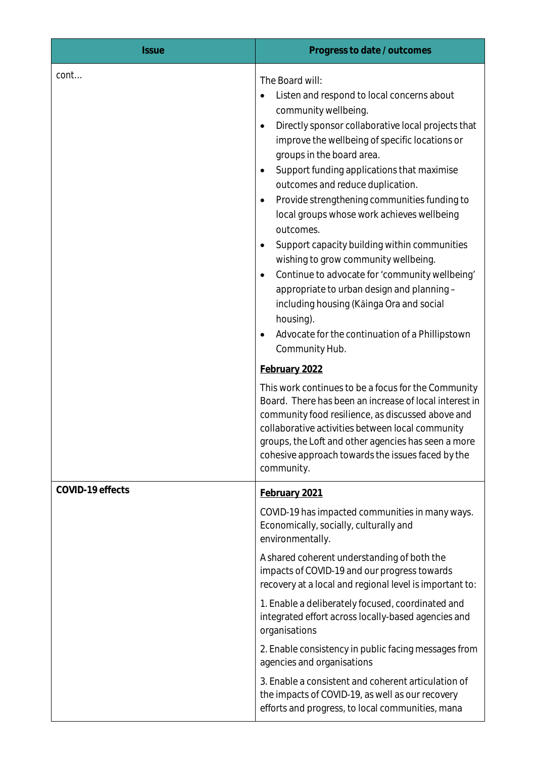| <b>Issue</b>     | Progress to date / outcomes                                                                                                                                                                                                                                                                                                                                                                                                                                                                                                                                                                                                                                                                                                                                                                                                                                                                                                                                                                                                                                                                                                                         |
|------------------|-----------------------------------------------------------------------------------------------------------------------------------------------------------------------------------------------------------------------------------------------------------------------------------------------------------------------------------------------------------------------------------------------------------------------------------------------------------------------------------------------------------------------------------------------------------------------------------------------------------------------------------------------------------------------------------------------------------------------------------------------------------------------------------------------------------------------------------------------------------------------------------------------------------------------------------------------------------------------------------------------------------------------------------------------------------------------------------------------------------------------------------------------------|
| cont             | The Board will:<br>Listen and respond to local concerns about<br>community wellbeing.<br>Directly sponsor collaborative local projects that<br>٠<br>improve the wellbeing of specific locations or<br>groups in the board area.<br>Support funding applications that maximise<br>٠<br>outcomes and reduce duplication.<br>Provide strengthening communities funding to<br>٠<br>local groups whose work achieves wellbeing<br>outcomes.<br>Support capacity building within communities<br>$\bullet$<br>wishing to grow community wellbeing.<br>Continue to advocate for 'community wellbeing'<br>٠<br>appropriate to urban design and planning -<br>including housing (Kainga Ora and social<br>housing).<br>Advocate for the continuation of a Phillipstown<br>Community Hub.<br>February 2022<br>This work continues to be a focus for the Community<br>Board. There has been an increase of local interest in<br>community food resilience, as discussed above and<br>collaborative activities between local community<br>groups, the Loft and other agencies has seen a more<br>cohesive approach towards the issues faced by the<br>community. |
| COVID-19 effects | February 2021<br>COVID-19 has impacted communities in many ways.<br>Economically, socially, culturally and<br>environmentally.<br>A shared coherent understanding of both the<br>impacts of COVID-19 and our progress towards<br>recovery at a local and regional level is important to:<br>1. Enable a deliberately focused, coordinated and<br>integrated effort across locally-based agencies and<br>organisations<br>2. Enable consistency in public facing messages from<br>agencies and organisations<br>3. Enable a consistent and coherent articulation of<br>the impacts of COVID-19, as well as our recovery<br>efforts and progress, to local communities, mana                                                                                                                                                                                                                                                                                                                                                                                                                                                                          |